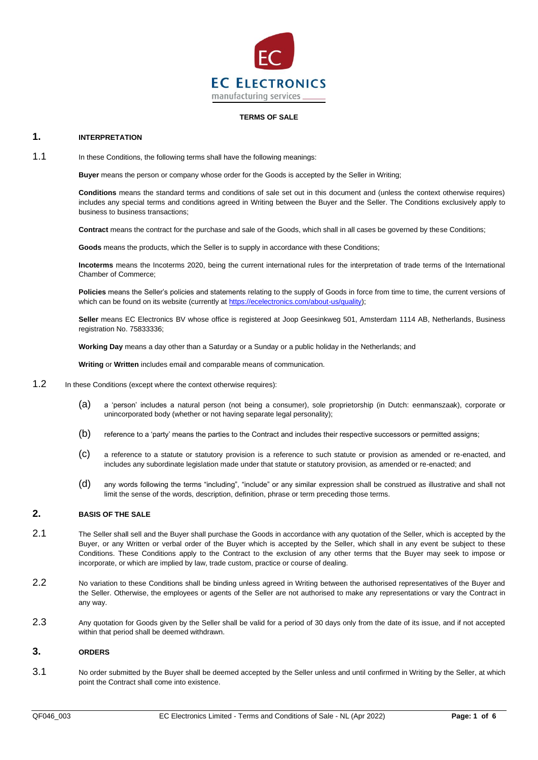

# **TERMS OF SALE**

#### **1. INTERPRETATION**

1.1 In these Conditions, the following terms shall have the following meanings:

**Buyer** means the person or company whose order for the Goods is accepted by the Seller in Writing;

**Conditions** means the standard terms and conditions of sale set out in this document and (unless the context otherwise requires) includes any special terms and conditions agreed in Writing between the Buyer and the Seller. The Conditions exclusively apply to business to business transactions;

**Contract** means the contract for the purchase and sale of the Goods, which shall in all cases be governed by these Conditions;

**Goods** means the products, which the Seller is to supply in accordance with these Conditions;

**Incoterms** means the Incoterms 2020, being the current international rules for the interpretation of trade terms of the International Chamber of Commerce;

**Policies** means the Seller's policies and statements relating to the supply of Goods in force from time to time, the current versions of which can be found on its website (currently a[t https://ecelectronics.com/about-us/quality\)](https://ecelectronics.com/about-us/quality);

**Seller** means EC Electronics BV whose office is registered at Joop Geesinkweg 501, Amsterdam 1114 AB, Netherlands, Business registration No. 75833336;

**Working Day** means a day other than a Saturday or a Sunday or a public holiday in the Netherlands; and

**Writing** or **Written** includes email and comparable means of communication.

- 1.2 In these Conditions (except where the context otherwise requires):
	- (a) a 'person' includes a natural person (not being a consumer), sole proprietorship (in Dutch: eenmanszaak), corporate or unincorporated body (whether or not having separate legal personality);
	- (b) reference to a 'party' means the parties to the Contract and includes their respective successors or permitted assigns;
	- (c) a reference to a statute or statutory provision is a reference to such statute or provision as amended or re-enacted, and includes any subordinate legislation made under that statute or statutory provision, as amended or re-enacted; and
	- (d) any words following the terms "including", "include" or any similar expression shall be construed as illustrative and shall not limit the sense of the words, description, definition, phrase or term preceding those terms.

## **2. BASIS OF THE SALE**

- 2.1 The Seller shall sell and the Buyer shall purchase the Goods in accordance with any quotation of the Seller, which is accepted by the Buyer, or any Written or verbal order of the Buyer which is accepted by the Seller, which shall in any event be subject to these Conditions. These Conditions apply to the Contract to the exclusion of any other terms that the Buyer may seek to impose or incorporate, or which are implied by law, trade custom, practice or course of dealing.
- 2.2 No variation to these Conditions shall be binding unless agreed in Writing between the authorised representatives of the Buyer and the Seller. Otherwise, the employees or agents of the Seller are not authorised to make any representations or vary the Contract in any way.
- 2.3 Any quotation for Goods given by the Seller shall be valid for a period of 30 days only from the date of its issue, and if not accepted within that period shall be deemed withdrawn.

## <span id="page-0-0"></span>**3. ORDERS**

3.1 No order submitted by the Buyer shall be deemed accepted by the Seller unless and until confirmed in Writing by the Seller, at which point the Contract shall come into existence.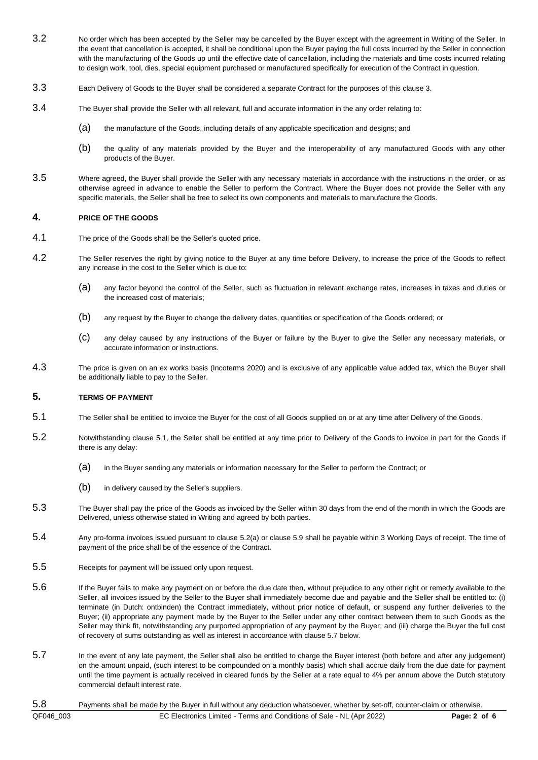- <span id="page-1-4"></span>3.2 No order which has been accepted by the Seller may be cancelled by the Buyer except with the agreement in Writing of the Seller. In the event that cancellation is accepted, it shall be conditional upon the Buyer paying the full costs incurred by the Seller in connection with the manufacturing of the Goods up until the effective date of cancellation, including the materials and time costs incurred relating to design work, tool, dies, special equipment purchased or manufactured specifically for execution of the Contract in question.
- 3.3 Each Delivery of Goods to the Buyer shall be considered a separate Contract for the purposes of this clause [3.](#page-0-0)
- 3.4 The Buyer shall provide the Seller with all relevant, full and accurate information in the any order relating to:
	- (a) the manufacture of the Goods, including details of any applicable specification and designs; and
	- (b) the quality of any materials provided by the Buyer and the interoperability of any manufactured Goods with any other products of the Buyer.
- 3.5 Where agreed, the Buyer shall provide the Seller with any necessary materials in accordance with the instructions in the order, or as otherwise agreed in advance to enable the Seller to perform the Contract. Where the Buyer does not provide the Seller with any specific materials, the Seller shall be free to select its own components and materials to manufacture the Goods.

#### **4. PRICE OF THE GOODS**

- 4.1 The price of the Goods shall be the Seller's quoted price.
- 4.2 The Seller reserves the right by giving notice to the Buyer at any time before Delivery, to increase the price of the Goods to reflect any increase in the cost to the Seller which is due to:
	- (a) any factor beyond the control of the Seller, such as fluctuation in relevant exchange rates, increases in taxes and duties or the increased cost of materials;
	- (b) any request by the Buyer to change the delivery dates, quantities or specification of the Goods ordered; or
	- (c) any delay caused by any instructions of the Buyer or failure by the Buyer to give the Seller any necessary materials, or accurate information or instructions.
- 4.3 The price is given on an ex works basis (Incoterms 2020) and is exclusive of any applicable value added tax, which the Buyer shall be additionally liable to pay to the Seller.

#### <span id="page-1-3"></span>**5. TERMS OF PAYMENT**

- <span id="page-1-0"></span>5.1 The Seller shall be entitled to invoice the Buyer for the cost of all Goods supplied on or at any time after Delivery of the Goods.
- <span id="page-1-1"></span>5.2 Notwithstanding clause [5.1,](#page-1-0) the Seller shall be entitled at any time prior to Delivery of the Goods to invoice in part for the Goods if there is any delay:
	- (a) in the Buyer sending any materials or information necessary for the Seller to perform the Contract; or
	- (b) in delivery caused by the Seller's suppliers.
- 5.3 The Buyer shall pay the price of the Goods as invoiced by the Seller within 30 days from the end of the month in which the Goods are Delivered, unless otherwise stated in Writing and agreed by both parties.
- 5.4 Any pro-forma invoices issued pursuant to clause [5.2\(](#page-1-1)a) or clause [5.9](#page-2-0) shall be payable within 3 Working Days of receipt. The time of payment of the price shall be of the essence of the Contract.
- 5.5 Receipts for payment will be issued only upon request.
- 5.6 If the Buyer fails to make any payment on or before the due date then, without prejudice to any other right or remedy available to the Seller, all invoices issued by the Seller to the Buyer shall immediately become due and payable and the Seller shall be entitled to: (i) terminate (in Dutch: ontbinden) the Contract immediately, without prior notice of default, or suspend any further deliveries to the Buyer; (ii) appropriate any payment made by the Buyer to the Seller under any other contract between them to such Goods as the Seller may think fit, notwithstanding any purported appropriation of any payment by the Buyer; and (iii) charge the Buyer the full cost of recovery of sums outstanding as well as interest in accordance with clause [5.7](#page-1-2) below.
- <span id="page-1-2"></span>5.7 In the event of any late payment, the Seller shall also be entitled to charge the Buyer interest (both before and after any judgement) on the amount unpaid, (such interest to be compounded on a monthly basis) which shall accrue daily from the due date for payment until the time payment is actually received in cleared funds by the Seller at a rate equal to 4% per annum above the Dutch statutory commercial default interest rate.

# QF046\_003 EC Electronics Limited - Terms and Conditions of Sale - NL (Apr 2022) **Page: 2 of 6** 5.8 Payments shall be made by the Buyer in full without any deduction whatsoever, whether by set-off, counter-claim or otherwise.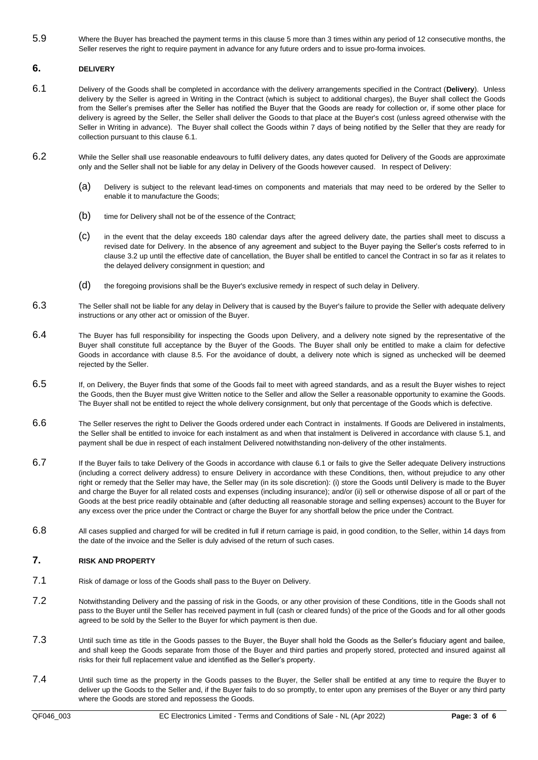<span id="page-2-0"></span>5.9 Where the Buyer has breached the payment terms in this claus[e 5](#page-1-3) more than 3 times within any period of 12 consecutive months, the Seller reserves the right to require payment in advance for any future orders and to issue pro-forma invoices.

# **6. DELIVERY**

- <span id="page-2-1"></span>6.1 Delivery of the Goods shall be completed in accordance with the delivery arrangements specified in the Contract (**Delivery**). Unless delivery by the Seller is agreed in Writing in the Contract (which is subject to additional charges), the Buyer shall collect the Goods from the Seller's premises after the Seller has notified the Buyer that the Goods are ready for collection or, if some other place for delivery is agreed by the Seller, the Seller shall deliver the Goods to that place at the Buyer's cost (unless agreed otherwise with the Seller in Writing in advance). The Buyer shall collect the Goods within 7 days of being notified by the Seller that they are ready for collection pursuant to this clause [6.1.](#page-2-1)
- 6.2 While the Seller shall use reasonable endeavours to fulfil delivery dates, any dates quoted for Delivery of the Goods are approximate only and the Seller shall not be liable for any delay in Delivery of the Goods however caused. In respect of Delivery:
	- (a) Delivery is subject to the relevant lead-times on components and materials that may need to be ordered by the Seller to enable it to manufacture the Goods;
	- (b) time for Delivery shall not be of the essence of the Contract;
	- (c) in the event that the delay exceeds 180 calendar days after the agreed delivery date, the parties shall meet to discuss a revised date for Delivery. In the absence of any agreement and subject to the Buyer paying the Seller's costs referred to in clause [3.2](#page-1-4) up until the effective date of cancellation, the Buyer shall be entitled to cancel the Contract in so far as it relates to the delayed delivery consignment in question; and
	- (d) the foregoing provisions shall be the Buyer's exclusive remedy in respect of such delay in Delivery.
- 6.3 The Seller shall not be liable for any delay in Delivery that is caused by the Buyer's failure to provide the Seller with adequate delivery instructions or any other act or omission of the Buyer.
- 6.4 The Buyer has full responsibility for inspecting the Goods upon Delivery, and a delivery note signed by the representative of the Buyer shall constitute full acceptance by the Buyer of the Goods. The Buyer shall only be entitled to make a claim for defective Goods in accordance with clause [8.5.](#page-3-0) For the avoidance of doubt, a delivery note which is signed as unchecked will be deemed rejected by the Seller.
- 6.5 If, on Delivery, the Buyer finds that some of the Goods fail to meet with agreed standards, and as a result the Buyer wishes to reject the Goods, then the Buyer must give Written notice to the Seller and allow the Seller a reasonable opportunity to examine the Goods. The Buyer shall not be entitled to reject the whole delivery consignment, but only that percentage of the Goods which is defective.
- 6.6 The Seller reserves the right to Deliver the Goods ordered under each Contract in instalments. If Goods are Delivered in instalments, the Seller shall be entitled to invoice for each instalment as and when that instalment is Delivered in accordance with clause [5.1,](#page-1-0) and payment shall be due in respect of each instalment Delivered notwithstanding non-delivery of the other instalments.
- 6.7 If the Buyer fails to take Delivery of the Goods in accordance with clause [6.1](#page-2-1) or fails to give the Seller adequate Delivery instructions (including a correct delivery address) to ensure Delivery in accordance with these Conditions, then, without prejudice to any other right or remedy that the Seller may have, the Seller may (in its sole discretion): (i) store the Goods until Delivery is made to the Buyer and charge the Buyer for all related costs and expenses (including insurance); and/or (ii) sell or otherwise dispose of all or part of the Goods at the best price readily obtainable and (after deducting all reasonable storage and selling expenses) account to the Buyer for any excess over the price under the Contract or charge the Buyer for any shortfall below the price under the Contract.
- 6.8 All cases supplied and charged for will be credited in full if return carriage is paid, in good condition, to the Seller, within 14 days from the date of the invoice and the Seller is duly advised of the return of such cases.

# **7. RISK AND PROPERTY**

- 7.1 Risk of damage or loss of the Goods shall pass to the Buyer on Delivery.
- 7.2 Notwithstanding Delivery and the passing of risk in the Goods, or any other provision of these Conditions, title in the Goods shall not pass to the Buyer until the Seller has received payment in full (cash or cleared funds) of the price of the Goods and for all other goods agreed to be sold by the Seller to the Buyer for which payment is then due.
- 7.3 Until such time as title in the Goods passes to the Buyer, the Buyer shall hold the Goods as the Seller's fiduciary agent and bailee, and shall keep the Goods separate from those of the Buyer and third parties and properly stored, protected and insured against all risks for their full replacement value and identified as the Seller's property.
- 7.4 Until such time as the property in the Goods passes to the Buyer, the Seller shall be entitled at any time to require the Buyer to deliver up the Goods to the Seller and, if the Buyer fails to do so promptly, to enter upon any premises of the Buyer or any third party where the Goods are stored and repossess the Goods.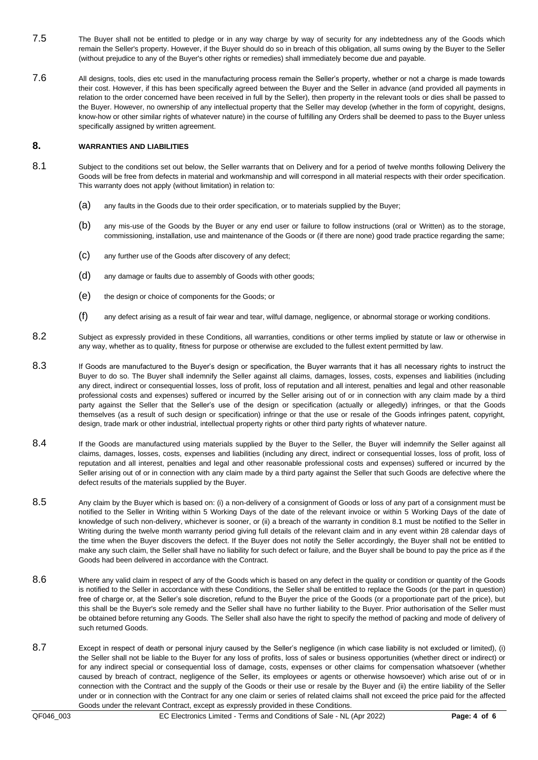- 7.5 The Buyer shall not be entitled to pledge or in any way charge by way of security for any indebtedness any of the Goods which remain the Seller's property. However, if the Buyer should do so in breach of this obligation, all sums owing by the Buyer to the Seller (without prejudice to any of the Buyer's other rights or remedies) shall immediately become due and payable.
- 7.6 All designs, tools, dies etc used in the manufacturing process remain the Seller's property, whether or not a charge is made towards their cost. However, if this has been specifically agreed between the Buyer and the Seller in advance (and provided all payments in relation to the order concerned have been received in full by the Seller), then property in the relevant tools or dies shall be passed to the Buyer. However, no ownership of any intellectual property that the Seller may develop (whether in the form of copyright, designs, know-how or other similar rights of whatever nature) in the course of fulfilling any Orders shall be deemed to pass to the Buyer unless specifically assigned by written agreement.

# **8. WARRANTIES AND LIABILITIES**

- 8.1 Subject to the conditions set out below, the Seller warrants that on Delivery and for a period of twelve months following Delivery the Goods will be free from defects in material and workmanship and will correspond in all material respects with their order specification. This warranty does not apply (without limitation) in relation to:
	- (a) any faults in the Goods due to their order specification, or to materials supplied by the Buyer;
	- (b) any mis-use of the Goods by the Buyer or any end user or failure to follow instructions (oral or Written) as to the storage, commissioning, installation, use and maintenance of the Goods or (if there are none) good trade practice regarding the same;
	- (c) any further use of the Goods after discovery of any defect;
	- (d) any damage or faults due to assembly of Goods with other goods;
	- (e) the design or choice of components for the Goods; or
	- (f) any defect arising as a result of fair wear and tear, wilful damage, negligence, or abnormal storage or working conditions.
- 8.2 Subject as expressly provided in these Conditions, all warranties, conditions or other terms implied by statute or law or otherwise in any way, whether as to quality, fitness for purpose or otherwise are excluded to the fullest extent permitted by law.
- 8.3 If Goods are manufactured to the Buyer's design or specification, the Buyer warrants that it has all necessary rights to instruct the Buyer to do so. The Buyer shall indemnify the Seller against all claims, damages, losses, costs, expenses and liabilities (including any direct, indirect or consequential losses, loss of profit, loss of reputation and all interest, penalties and legal and other reasonable professional costs and expenses) suffered or incurred by the Seller arising out of or in connection with any claim made by a third party against the Seller that the Seller's use of the design or specification (actually or allegedly) infringes, or that the Goods themselves (as a result of such design or specification) infringe or that the use or resale of the Goods infringes patent, copyright, design, trade mark or other industrial, intellectual property rights or other third party rights of whatever nature.
- 8.4 If the Goods are manufactured using materials supplied by the Buyer to the Seller, the Buyer will indemnify the Seller against all claims, damages, losses, costs, expenses and liabilities (including any direct, indirect or consequential losses, loss of profit, loss of reputation and all interest, penalties and legal and other reasonable professional costs and expenses) suffered or incurred by the Seller arising out of or in connection with any claim made by a third party against the Seller that such Goods are defective where the defect results of the materials supplied by the Buyer.
- <span id="page-3-0"></span>8.5 Any claim by the Buyer which is based on: (i) a non-delivery of a consignment of Goods or loss of any part of a consignment must be notified to the Seller in Writing within 5 Working Days of the date of the relevant invoice or within 5 Working Days of the date of knowledge of such non-delivery, whichever is sooner, or (ii) a breach of the warranty in condition 8.1 must be notified to the Seller in Writing during the twelve month warranty period giving full details of the relevant claim and in any event within 28 calendar days of the time when the Buyer discovers the defect. If the Buyer does not notify the Seller accordingly, the Buyer shall not be entitled to make any such claim, the Seller shall have no liability for such defect or failure, and the Buyer shall be bound to pay the price as if the Goods had been delivered in accordance with the Contract.
- 8.6 Where any valid claim in respect of any of the Goods which is based on any defect in the quality or condition or quantity of the Goods is notified to the Seller in accordance with these Conditions, the Seller shall be entitled to replace the Goods (or the part in question) free of charge or, at the Seller's sole discretion, refund to the Buyer the price of the Goods (or a proportionate part of the price), but this shall be the Buyer's sole remedy and the Seller shall have no further liability to the Buyer. Prior authorisation of the Seller must be obtained before returning any Goods. The Seller shall also have the right to specify the method of packing and mode of delivery of such returned Goods.
- 8.7 Except in respect of death or personal injury caused by the Seller's negligence (in which case liability is not excluded or limited), (i) the Seller shall not be liable to the Buyer for any loss of profits, loss of sales or business opportunities (whether direct or indirect) or for any indirect special or consequential loss of damage, costs, expenses or other claims for compensation whatsoever (whether caused by breach of contract, negligence of the Seller, its employees or agents or otherwise howsoever) which arise out of or in connection with the Contract and the supply of the Goods or their use or resale by the Buyer and (ii) the entire liability of the Seller under or in connection with the Contract for any one claim or series of related claims shall not exceed the price paid for the affected Goods under the relevant Contract, except as expressly provided in these Conditions.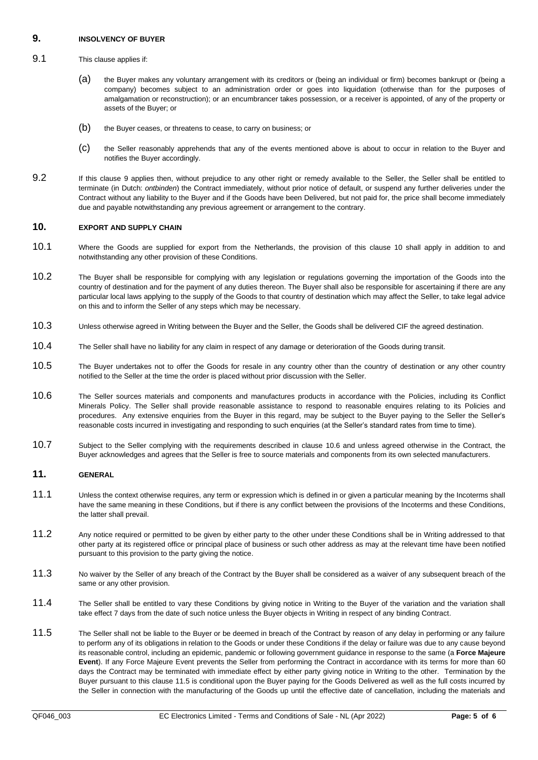## <span id="page-4-0"></span>**9. INSOLVENCY OF BUYER**

## 9.1 This clause applies if:

- (a) the Buyer makes any voluntary arrangement with its creditors or (being an individual or firm) becomes bankrupt or (being a company) becomes subject to an administration order or goes into liquidation (otherwise than for the purposes of amalgamation or reconstruction); or an encumbrancer takes possession, or a receiver is appointed, of any of the property or assets of the Buyer; or
- (b) the Buyer ceases, or threatens to cease, to carry on business; or
- (c) the Seller reasonably apprehends that any of the events mentioned above is about to occur in relation to the Buyer and notifies the Buyer accordingly.
- 9.2 If this clause [9](#page-4-0) applies then, without prejudice to any other right or remedy available to the Seller, the Seller shall be entitled to terminate (in Dutch: *ontbinden*) the Contract immediately, without prior notice of default, or suspend any further deliveries under the Contract without any liability to the Buyer and if the Goods have been Delivered, but not paid for, the price shall become immediately due and payable notwithstanding any previous agreement or arrangement to the contrary.

# <span id="page-4-1"></span>**10. EXPORT AND SUPPLY CHAIN**

- 10.1 Where the Goods are supplied for export from the Netherlands, the provision of this clause [10](#page-4-1) shall apply in addition to and notwithstanding any other provision of these Conditions.
- 10.2 The Buyer shall be responsible for complying with any legislation or regulations governing the importation of the Goods into the country of destination and for the payment of any duties thereon. The Buyer shall also be responsible for ascertaining if there are any particular local laws applying to the supply of the Goods to that country of destination which may affect the Seller, to take legal advice on this and to inform the Seller of any steps which may be necessary.
- 10.3 Unless otherwise agreed in Writing between the Buyer and the Seller, the Goods shall be delivered CIF the agreed destination.
- 10.4 The Seller shall have no liability for any claim in respect of any damage or deterioration of the Goods during transit.
- 10.5 The Buyer undertakes not to offer the Goods for resale in any country other than the country of destination or any other country notified to the Seller at the time the order is placed without prior discussion with the Seller.
- <span id="page-4-2"></span>10.6 The Seller sources materials and components and manufactures products in accordance with the Policies, including its Conflict Minerals Policy. The Seller shall provide reasonable assistance to respond to reasonable enquires relating to its Policies and procedures. Any extensive enquiries from the Buyer in this regard, may be subject to the Buyer paying to the Seller the Seller's reasonable costs incurred in investigating and responding to such enquiries (at the Seller's standard rates from time to time).
- 10.7 Subject to the Seller complying with the requirements described in clause [10.6](#page-4-2) and unless agreed otherwise in the Contract, the Buyer acknowledges and agrees that the Seller is free to source materials and components from its own selected manufacturers.

## **11. GENERAL**

- 11.1 Unless the context otherwise requires, any term or expression which is defined in or given a particular meaning by the Incoterms shall have the same meaning in these Conditions, but if there is any conflict between the provisions of the Incoterms and these Conditions, the latter shall prevail.
- 11.2 Any notice required or permitted to be given by either party to the other under these Conditions shall be in Writing addressed to that other party at its registered office or principal place of business or such other address as may at the relevant time have been notified pursuant to this provision to the party giving the notice.
- 11.3 No waiver by the Seller of any breach of the Contract by the Buyer shall be considered as a waiver of any subsequent breach of the same or any other provision.
- 11.4 The Seller shall be entitled to vary these Conditions by giving notice in Writing to the Buyer of the variation and the variation shall take effect 7 days from the date of such notice unless the Buyer objects in Writing in respect of any binding Contract.
- <span id="page-4-3"></span>11.5 The Seller shall not be liable to the Buyer or be deemed in breach of the Contract by reason of any delay in performing or any failure to perform any of its obligations in relation to the Goods or under these Conditions if the delay or failure was due to any cause beyond its reasonable control, including an epidemic, pandemic or following government guidance in response to the same (a **Force Majeure Event**). If any Force Majeure Event prevents the Seller from performing the Contract in accordance with its terms for more than 60 days the Contract may be terminated with immediate effect by either party giving notice in Writing to the other. Termination by the Buyer pursuant to this clause [11.5](#page-4-3) is conditional upon the Buyer paying for the Goods Delivered as well as the full costs incurred by the Seller in connection with the manufacturing of the Goods up until the effective date of cancellation, including the materials and